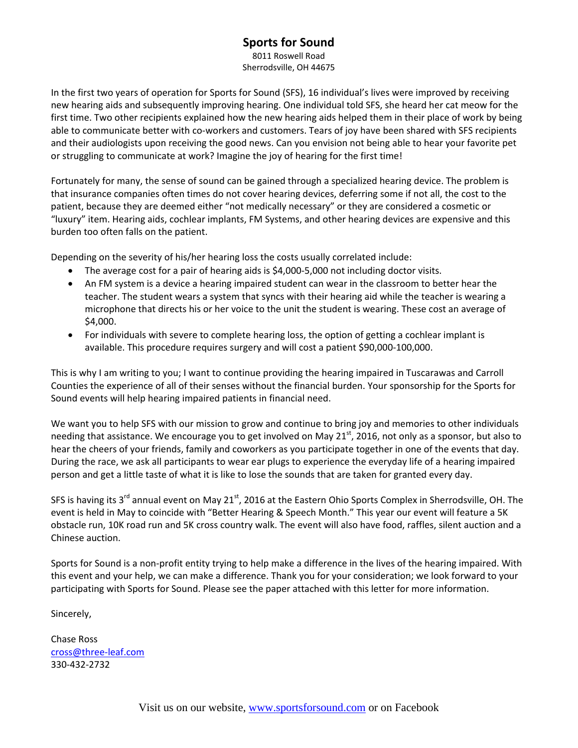## **Sports for Sound**

8011 Roswell Road Sherrodsville, OH 44675

In the first two years of operation for Sports for Sound (SFS), 16 individual's lives were improved by receiving new hearing aids and subsequently improving hearing. One individual told SFS, she heard her cat meow for the first time. Two other recipients explained how the new hearing aids helped them in their place of work by being able to communicate better with co-workers and customers. Tears of joy have been shared with SFS recipients and their audiologists upon receiving the good news. Can you envision not being able to hear your favorite pet or struggling to communicate at work? Imagine the joy of hearing for the first time!

Fortunately for many, the sense of sound can be gained through a specialized hearing device. The problem is that insurance companies often times do not cover hearing devices, deferring some if not all, the cost to the patient, because they are deemed either "not medically necessary" or they are considered a cosmetic or "luxury" item. Hearing aids, cochlear implants, FM Systems, and other hearing devices are expensive and this burden too often falls on the patient.

Depending on the severity of his/her hearing loss the costs usually correlated include:

- The average cost for a pair of hearing aids is \$4,000-5,000 not including doctor visits.
- An FM system is a device a hearing impaired student can wear in the classroom to better hear the teacher. The student wears a system that syncs with their hearing aid while the teacher is wearing a microphone that directs his or her voice to the unit the student is wearing. These cost an average of \$4,000.
- For individuals with severe to complete hearing loss, the option of getting a cochlear implant is available. This procedure requires surgery and will cost a patient \$90,000‐100,000.

This is why I am writing to you; I want to continue providing the hearing impaired in Tuscarawas and Carroll Counties the experience of all of their senses without the financial burden. Your sponsorship for the Sports for Sound events will help hearing impaired patients in financial need.

We want you to help SFS with our mission to grow and continue to bring joy and memories to other individuals needing that assistance. We encourage you to get involved on May 21<sup>st</sup>, 2016, not only as a sponsor, but also to hear the cheers of your friends, family and coworkers as you participate together in one of the events that day. During the race, we ask all participants to wear ear plugs to experience the everyday life of a hearing impaired person and get a little taste of what it is like to lose the sounds that are taken for granted every day.

SFS is having its 3<sup>rd</sup> annual event on May 21<sup>st</sup>, 2016 at the Eastern Ohio Sports Complex in Sherrodsville, OH. The event is held in May to coincide with "Better Hearing & Speech Month." This year our event will feature a 5K obstacle run, 10K road run and 5K cross country walk. The event will also have food, raffles, silent auction and a Chinese auction.

Sports for Sound is a non‐profit entity trying to help make a difference in the lives of the hearing impaired. With this event and your help, we can make a difference. Thank you for your consideration; we look forward to your participating with Sports for Sound. Please see the paper attached with this letter for more information.

Sincerely,

Chase Ross cross@three‐leaf.com 330‐432‐2732